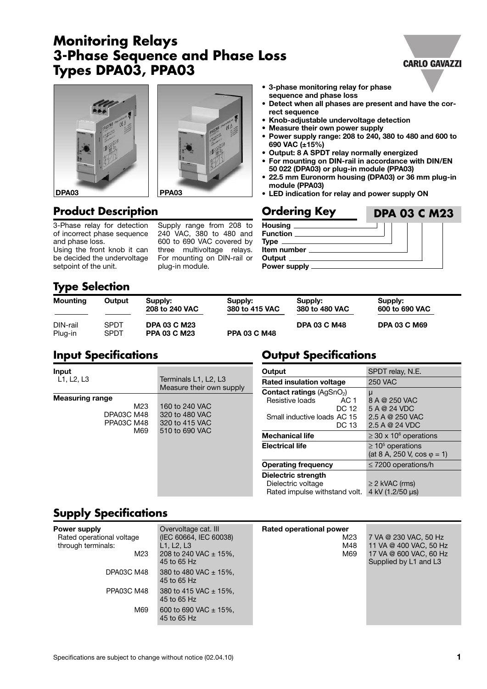# **Monitoring Relays 3-Phase Sequence and Phase Loss Types DPA03, PPA03**

# **DPA03 PPA03**

#### **• 3-phase monitoring relay for phase sequence and phase loss**

- **• Detect when all phases are present and have the correct sequence**
- **Knob-adjustable undervoltage detection**
- **Measure their own power supply**
- **Power supply range: 208 to 240, 380 to 480 and 600 to 690 VAC (±15%)**
- **Output: 8 A SPDT relay normally energized**
- **For mounting on DIN-rail in accordance with DIN/EN 50 022 (DPA03) or plug-in module (PPA03)**
- **• 22.5 mm Euronorm housing (DPA03) or 36 mm plug-in module (PPA03)**
- **LED indication for relay and power supply ON**

# **Product Description Discussed Services Ordering Key**

3-Phase relay for detection of incorrect phase sequence and phase loss.

Using the front knob it can be decided the undervoltage setpoint of the unit.

Supply range from 208 to 240 VAC, 380 to 480 and 600 to 690 VAC covered by three multivoltage relays. For mounting on DIN-rail or plug-in module.

# **Housing**

**Output Specifications**

| Function __________     |                              |  |  |
|-------------------------|------------------------------|--|--|
|                         | Type _______________________ |  |  |
| <b>Item number</b>      |                              |  |  |
|                         | Output _____________________ |  |  |
| Power supply __________ |                              |  |  |
|                         |                              |  |  |

# **Type Selection**

| <b>Mounting</b>     | Output       | Supply:<br>208 to 240 VAC                  | Supply:<br>380 to 415 VAC | Supply:<br>380 to 480 VAC | Supply:<br>600 to 690 VAC |
|---------------------|--------------|--------------------------------------------|---------------------------|---------------------------|---------------------------|
| DIN-rail<br>Plug-in | SPDT<br>SPDT | <b>DPA 03 C M23</b><br><b>PPA 03 C M23</b> | <b>PPA 03 C M48</b>       | <b>DPA 03 C M48</b>       | <b>DPA 03 C M69</b>       |

# **Input Specifications**

| Input                                                                   |                                                                                                                          | Output                                                                                                                 | SPDT relay, N.E.                                                        |
|-------------------------------------------------------------------------|--------------------------------------------------------------------------------------------------------------------------|------------------------------------------------------------------------------------------------------------------------|-------------------------------------------------------------------------|
| L1, L2, L3                                                              | Terminals L1, L2, L3<br>Measure their own supply<br>160 to 240 VAC<br>320 to 480 VAC<br>320 to 415 VAC<br>510 to 690 VAC | <b>Rated insulation voltage</b>                                                                                        | <b>250 VAC</b>                                                          |
| <b>Measuring range</b><br>M23<br>DPA03C M48<br><b>PPA03C M48</b><br>M69 |                                                                                                                          | <b>Contact ratings (AgSnO2)</b><br>Resistive loads<br>AC <sub>1</sub><br>DC 12<br>Small inductive loads AC 15<br>DC 13 | μ<br>8 A @ 250 VAC<br>5 A @ 24 VDC<br>2.5 A @ 250 VAC<br>2.5 A @ 24 VDC |
|                                                                         |                                                                                                                          | <b>Mechanical life</b>                                                                                                 | $\geq$ 30 x 10 <sup>6</sup> operations                                  |
|                                                                         |                                                                                                                          | <b>Electrical life</b>                                                                                                 | $\geq 10^5$ operations<br>(at 8 A, 250 V, cos $\varphi$ = 1)            |
|                                                                         |                                                                                                                          | <b>Operating frequency</b>                                                                                             | $\leq$ 7200 operations/h                                                |
|                                                                         |                                                                                                                          | Dielectric strength<br>Dielectric voltage<br>Rated impulse withstand volt.                                             | $\geq$ 2 kVAC (rms)<br>4 kV (1.2/50 µs)                                 |

# **Supply Specifications**

| <b>Power supply</b>       | Overvoltage cat. III                     | Rated operational power |                        |
|---------------------------|------------------------------------------|-------------------------|------------------------|
| Rated operational voltage | (IEC 60664, IEC 60038)                   | M23                     | 7 VA @ 230 VAC, 50 Hz  |
| through terminals:        | L1. L2. L3                               | M48                     | 11 VA @ 400 VAC, 50 Hz |
| M23                       | 208 to 240 VAC $\pm$ 15%,                | M69                     | 17 VA @ 600 VAC, 60 Hz |
|                           | 45 to 65 Hz                              |                         | Supplied by L1 and L3  |
| DPA03C M48                | 380 to 480 VAC $\pm$ 15%.<br>45 to 65 Hz |                         |                        |
| PPA03C M48                | 380 to 415 VAC $\pm$ 15%,<br>45 to 65 Hz |                         |                        |
| M69                       | 600 to 690 VAC $\pm$ 15%.<br>45 to 65 Hz |                         |                        |

## **CARLO GAVAZZI**

**DPA 03 C M23**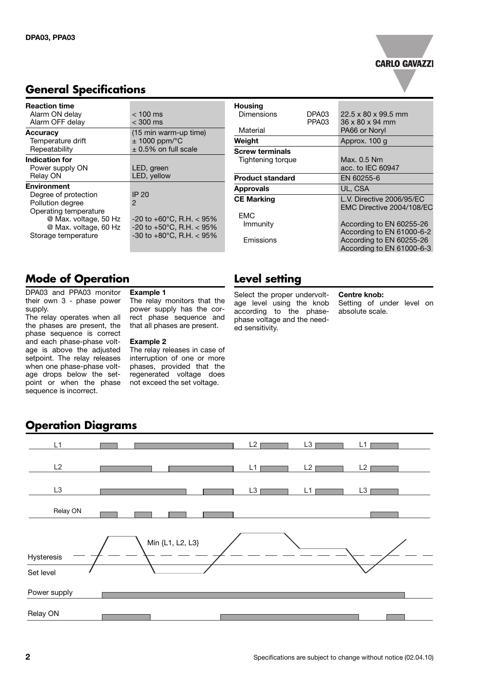### **CARLO GAVAZZI**

| <b>Reaction time</b><br>Alarm ON delay<br>Alarm OFF delay                                                                                                        | $<$ 100 ms<br>$<$ 300 ms                                                                                                                   |
|------------------------------------------------------------------------------------------------------------------------------------------------------------------|--------------------------------------------------------------------------------------------------------------------------------------------|
| <b>Accuracy</b><br>Temperature drift<br>Repeatability                                                                                                            | (15 min warm-up time)<br>$± 1000$ ppm/ $°C$<br>$\pm$ 0.5% on full scale                                                                    |
| Indication for<br>Power supply ON<br>Relay ON                                                                                                                    | LED, green<br>LED, yellow                                                                                                                  |
| <b>Environment</b><br>Degree of protection<br>Pollution degree<br>Operating temperature<br>@ Max. voltage, 50 Hz<br>@ Max. voltage, 60 Hz<br>Storage temperature | IP 20<br>2<br>$-20$ to $+60^{\circ}$ C, R.H. $<$ 95%<br>$-20$ to $+50^{\circ}$ C, R.H. $< 95\%$<br>$-30$ to $+80^{\circ}$ C, R.H. $< 95\%$ |

# **General Specifications**

# **Mode of Operation**

DPA03 and PPA03 monitor their own 3 - phase power supply.

The relay operates when all the phases are present, the phase sequence is correct and each phase-phase voltage is above the adjusted setpoint. The relay releases when one phase-phase voltage drops below the setpoint or when the phase sequence is incorrect.

#### **Example 1**

The relay monitors that the power supply has the correct phase sequence and that all phases are present.

#### **Example 2**

The relay releases in case of interruption of one or more phases, provided that the regenerated voltage does not exceed the set voltage.

| <b>Housing</b>          |                   |                                 |
|-------------------------|-------------------|---------------------------------|
| Dimensions              | DPA03             | $22.5 \times 80 \times 99.5$ mm |
|                         | PPA <sub>03</sub> | 36 x 80 x 94 mm                 |
| Material                |                   | PA66 or Noryl                   |
| Weight                  |                   | Approx. 100 g                   |
| <b>Screw terminals</b>  |                   |                                 |
| Tightening torque       |                   | Max. 0.5 Nm                     |
|                         |                   | acc. to IEC 60947               |
| <b>Product standard</b> |                   | EN 60255-6                      |
| <b>Approvals</b>        |                   | UL, CSA                         |
| <b>CE Marking</b>       |                   | L.V. Directive 2006/95/EC       |
|                         |                   | EMC Directive 2004/108/EC       |
| FMC                     |                   |                                 |
| Immunity                |                   | According to EN 60255-26        |
|                         |                   | According to EN 61000-6-2       |
| <b>Fmissions</b>        |                   | According to EN 60255-26        |
|                         |                   | According to EN 61000-6-3       |

# **Level setting**

Select the proper undervoltage level using the knob according to the phasephase voltage and the needed sensitivity.

#### **Centre knob:**

Setting of under level on absolute scale.